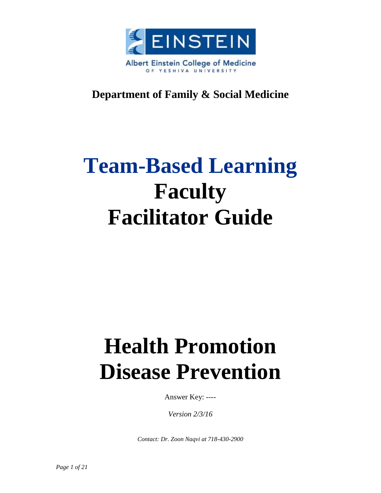

# **Department of Family & Social Medicine**

# **Team-Based Learning Faculty Facilitator Guide**

# **Health Promotion Disease Prevention**

Answer Key: ----

*Version 2/3/16*

*Contact: Dr. Zoon Naqvi at 718-430-2900*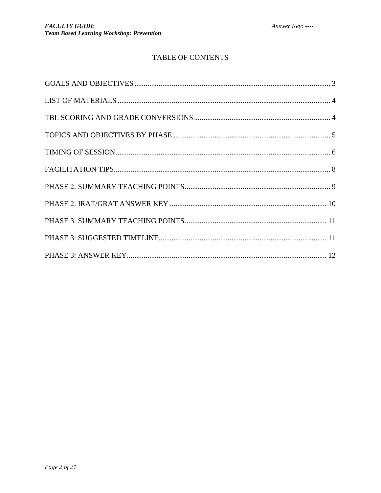### TABLE OF CONTENTS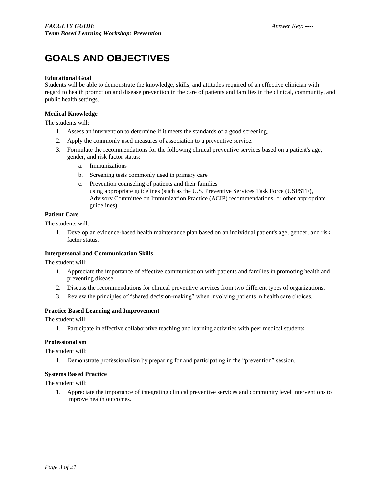# <span id="page-2-0"></span>**GOALS AND OBJECTIVES**

#### **Educational Goal**

Students will be able to demonstrate the knowledge, skills, and attitudes required of an effective clinician with regard to health promotion and disease prevention in the care of patients and families in the clinical, community, and public health settings.

#### **Medical Knowledge**

The students will:

- 1. Assess an intervention to determine if it meets the standards of a good screening.
- 2. Apply the commonly used measures of association to a preventive service.
- 3. Formulate the recommendations for the following clinical preventive services based on a patient's age, gender, and risk factor status:
	- a. Immunizations
	- b. Screening tests commonly used in primary care
	- c. Prevention counseling of patients and their families using appropriate guidelines (such as the U.S. Preventive Services Task Force (USPSTF), Advisory Committee on Immunization Practice (ACIP) recommendations, or other appropriate guidelines).

#### **Patient Care**

The students will:

1. Develop an evidence-based health maintenance plan based on an individual patient's age, gender, and risk factor status.

#### **Interpersonal and Communication Skills**

The student will:

- 1. Appreciate the importance of effective communication with patients and families in promoting health and preventing disease.
- 2. Discuss the recommendations for clinical preventive services from two different types of organizations.
- 3. Review the principles of "shared decision-making" when involving patients in health care choices.

#### **Practice Based Learning and Improvement**

The student will:

1. Participate in effective collaborative teaching and learning activities with peer medical students.

#### **Professionalism**

The student will:

1. Demonstrate professionalism by preparing for and participating in the "prevention" session.

#### **Systems Based Practice**

The student will:

1. Appreciate the importance of integrating clinical preventive services and community level interventions to improve health outcomes.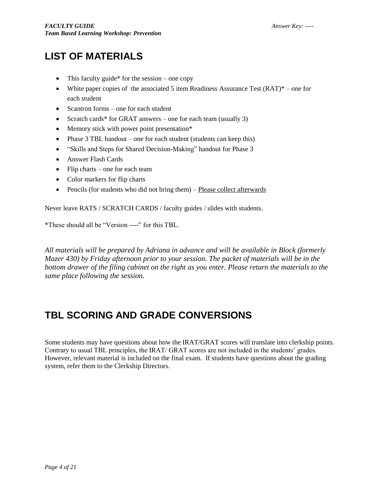# <span id="page-3-0"></span>**LIST OF MATERIALS**

- This faculty guide\* for the session one copy
- White paper copies of the associated 5 item Readiness Assurance Test  $(RAT)^*$  one for each student
- Scantron forms one for each student
- Scratch cards\* for GRAT answers one for each team (usually 3)
- Memory stick with power point presentation\*
- Phase  $3$  TBL handout one for each student (students can keep this)
- "Skills and Steps for Shared Decision-Making" handout for Phase 3
- Answer Flash Cards
- $\bullet$  Flip charts one for each team
- Color markers for flip charts
- Pencils (for students who did not bring them) Please collect afterwards

Never leave RATS / SCRATCH CARDS / faculty guides / slides with students.

\*These should all be "Version ----" for this TBL.

*All materials will be prepared by Adriana in advance and will be available in Block (formerly Mazer 430) by Friday afternoon prior to your session. The packet of materials will be in the bottom drawer of the filing cabinet on the right as you enter. Please return the materials to the same place following the session.*

# <span id="page-3-1"></span>**TBL SCORING AND GRADE CONVERSIONS**

Some students may have questions about how the IRAT/GRAT scores will translate into clerkship points. Contrary to usual TBL principles, the IRAT/ GRAT scores are not included in the students' grades. However, relevant material is included on the final exam. If students have questions about the grading system, refer them to the Clerkship Directors.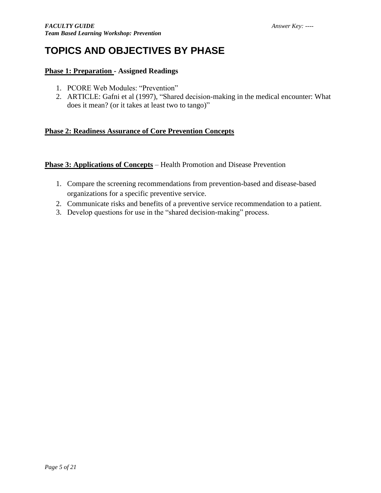# <span id="page-4-0"></span>**TOPICS AND OBJECTIVES BY PHASE**

### **Phase 1: Preparation - Assigned Readings**

- 1. PCORE Web Modules: "Prevention"
- 2. ARTICLE: Gafni et al (1997), "Shared decision-making in the medical encounter: What does it mean? (or it takes at least two to tango)"

### **Phase 2: Readiness Assurance of Core Prevention Concepts**

### **Phase 3: Applications of Concepts** – Health Promotion and Disease Prevention

- 1. Compare the screening recommendations from prevention-based and disease-based organizations for a specific preventive service.
- 2. Communicate risks and benefits of a preventive service recommendation to a patient.
- 3. Develop questions for use in the "shared decision-making" process.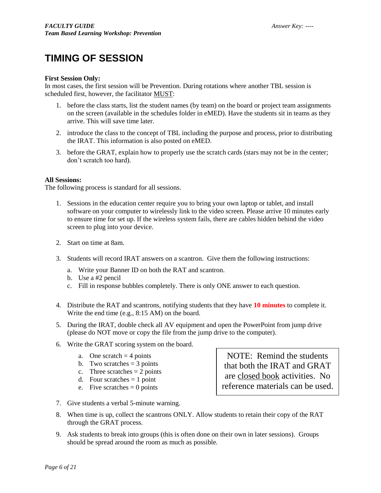# <span id="page-5-0"></span>**TIMING OF SESSION**

#### **First Session Only:**

In most cases, the first session will be Prevention. During rotations where another TBL session is scheduled first, however, the facilitator MUST:

- 1. before the class starts, list the student names (by team) on the board or project team assignments on the screen (available in the schedules folder in eMED). Have the students sit in teams as they arrive. This will save time later.
- 2. introduce the class to the concept of TBL including the purpose and process, prior to distributing the IRAT. This information is also posted on eMED.
- 3. before the GRAT, explain how to properly use the scratch cards (stars may not be in the center; don't scratch too hard).

#### **All Sessions:**

The following process is standard for all sessions.

- 1. Sessions in the education center require you to bring your own laptop or tablet, and install software on your computer to wirelessly link to the video screen. Please arrive 10 minutes early to ensure time for set up. If the wireless system fails, there are cables hidden behind the video screen to plug into your device.
- 2. Start on time at 8am.
- 3. Students will record IRAT answers on a scantron. Give them the following instructions:
	- a. Write your Banner ID on both the RAT and scantron.
	- b. Use a #2 pencil
	- c. Fill in response bubbles completely. There is only ONE answer to each question.
- 4. Distribute the RAT and scantrons, notifying students that they have **10 minutes** to complete it. Write the end time (e.g., 8:15 AM) on the board.
- 5. During the IRAT, double check all AV equipment and open the PowerPoint from jump drive (please do NOT move or copy the file from the jump drive to the computer).
- 6. Write the GRAT scoring system on the board.
	- a. One scratch  $=$  4 points
	- b. Two scratches  $=$  3 points
	- c. Three scratches  $= 2$  points
	- d. Four scratches  $= 1$  point
	- e. Five scratches  $= 0$  points

7. Give students a verbal 5-minute warning.

NOTE: Remind the students that both the IRAT and GRAT are closed book activities. No reference materials can be used.

- 8. When time is up, collect the scantrons ONLY. Allow students to retain their copy of the RAT through the GRAT process.
- 9. Ask students to break into groups (this is often done on their own in later sessions). Groups should be spread around the room as much as possible.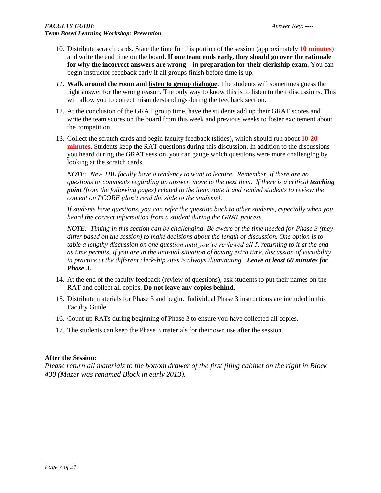- 10. Distribute scratch cards. State the time for this portion of the session (approximately **10 minutes**) and write the end time on the board. **If one team ends early, they should go over the rationale for why the incorrect answers are wrong – in preparation for their clerkship exam.** You can begin instructor feedback early if all groups finish before time is up.
- *11.* **Walk around the room and listen to group dialogue**. The students will sometimes guess the right answer for the wrong reason. The only way to know this is to listen to their discussions. This will allow you to correct misunderstandings during the feedback section.
- 12. At the conclusion of the GRAT group time, have the students add up their GRAT scores and write the team scores on the board from this week and previous weeks to foster excitement about the competition.
- 13. Collect the scratch cards and begin faculty feedback (slides), which should run about **10-20 minutes**. Students keep the RAT questions during this discussion. In addition to the discussions you heard during the GRAT session, you can gauge which questions were more challenging by looking at the scratch cards.

*NOTE: New TBL faculty have a tendency to want to lecture. Remember, if there are no duestions or comments regarding an answer, move to the next item. If there is a critical <i>teaching point (from the following pages) related to the item, state it and remind students to review the content on PCORE (don't read the slide to the students).* 

*If students have questions, you can refer the question back to other students, especially when you heard the correct information from a student during the GRAT process.*

*NOTE: Timing in this section can be challenging. Be aware of the time needed for Phase 3 (they differ based on the session) to make decisions about the length of discussion. One option is to table a lengthy discussion on one question until you've reviewed all 5, returning to it at the end as time permits. If you are in the unusual situation of having extra time, discussion of variability in practice at the different clerkship sites is always illuminating. Leave at least 60 minutes for Phase 3.*

- 14. At the end of the faculty feedback (review of questions), ask students to put their names on the RAT and collect all copies. **Do not leave any copies behind.**
- 15. Distribute materials for Phase 3 and begin. Individual Phase 3 instructions are included in this Faculty Guide.
- 16. Count up RATs during beginning of Phase 3 to ensure you have collected all copies.
- 17. The students can keep the Phase 3 materials for their own use after the session.

#### **After the Session:**

*Please return all materials to the bottom drawer of the first filing cabinet on the right in Block 430 (Mazer was renamed Block in early 2013).*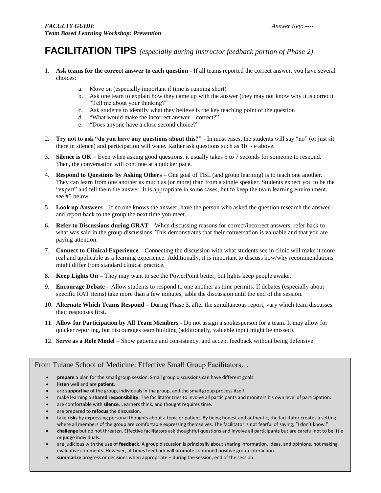## <span id="page-7-0"></span>**FACILITATION TIPS** *(especially during instructor feedback portion of Phase 2)*

- 1. **Ask teams for the correct answer to each question -** If all teams reported the correct answer, you have several choices:
	- a. Move on (especially important if time is running short)
	- b. Ask one team to explain how they came up with the answer (they may not know why it is correct) "Tell me about your thinking?"
	- c. Ask students to identify what they believe is the key teaching point of the question
	- d. "What would make the incorrect answer correct?"
	- e. "Does anyone have a close second choice?"
- 2. **Try not to ask "do you have any questions about this?"** In most cases, the students will say "no" (or just sit there in silence) and participation will wane. Rather ask questions such as 1b - e above.
- 3. **Silence is OK** Even when asking good questions, it usually takes 5 to 7 seconds for someone to respond. Then, the conversation will continue at a quicker pace.
- 4. **Respond to Questions by Asking Others** One goal of TBL (and group learning) is to teach one another. They can learn from one another as much as (or more) than from a single speaker. Students expect you to be the "expert" and tell them the answer. It is appropriate in some cases, but to keep the team learning environment, see #5 below.
- 5. **Look up Answers** If no one knows the answer, have the person who asked the question research the answer and report back to the group the next time you meet.
- 6. **Refer to Discussions during GRAT** When discussing reasons for correct/incorrect answers, refer back to what was said in the group discussions. This demonstrates that their conversation is valuable and that you are paying attention.
- 7. **Connect to Clinical Experience** Connecting the discussion with what students see in clinic will make it more real and applicable as a learning experience. Additionally, it is important to discuss how/why recommendations might differ from standard clinical practice.
- 8. **Keep Lights On –** They may want to see the PowerPoint better, but lights keep people awake.
- 9. **Encourage Debate –** Allow students to respond to one another as time permits. If debates (especially about specific RAT items) take more than a few minutes, table the discussion until the end of the session.
- 10. **Alternate Which Teams Respond –** During Phase 3, after the simultaneous report, vary which team discusses their responses first.
- 11. **Allow for Participation by All Team Members -** Do not assign a spokesperson for a team. It may allow for quicker reporting, but discourages team building (additionally, valuable input might be missed).
- 12. **Serve as a Role Model** Show patience and consistency, and accept feedback without being defensive.

### From Tulane School of Medicine: Effective Small Group Facilitators…

- **prepare** a plan for the small group session. Small group discussions can have different goals.
- **listen** well and are **patient**.
- are **supportive** of the group, individuals in the group, and the small group process itself.
- make learning a **shared responsibility**. The facilitator tries to involve all participants and monitors his own level of participation.
- are comfortable with **silence**. Learners think, and thought requires time.
- are prepared to **refocus** the discussion.
- take **risks** by expressing personal thoughts about a topic or patient. By being honest and authentic, the facilitator creates a setting where all members of the group are comfortable expressing themselves. The facilitator is not fearful of saying, "I don't know."
- **challenge** but do not threaten. Effective facilitators ask thoughtful questions and involve all participants but are careful not to belittle or judge individuals.
- are judicious with the use of **feedback**. A group discussion is principally about sharing information, ideas, and opinions, not making evaluative comments. However, at times feedback will promote continued positive group interaction.
- **summarize** progress or decisions when appropriate during the session, end of the session.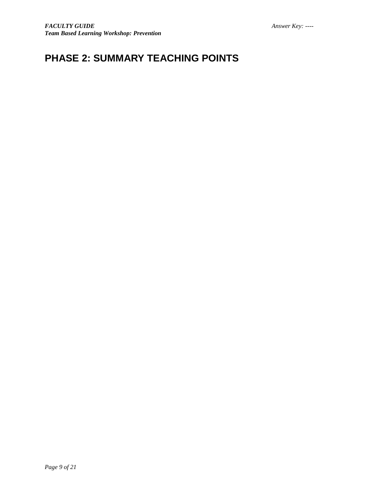# <span id="page-8-0"></span>**PHASE 2: SUMMARY TEACHING POINTS**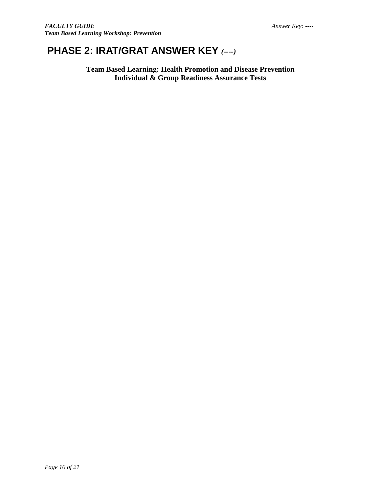# <span id="page-9-0"></span>**PHASE 2: IRAT/GRAT ANSWER KEY** *(----)*

**Team Based Learning: Health Promotion and Disease Prevention Individual & Group Readiness Assurance Tests**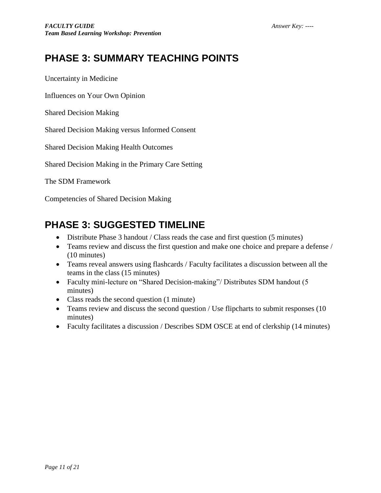# <span id="page-10-0"></span>**PHASE 3: SUMMARY TEACHING POINTS**

Uncertainty in Medicine

Influences on Your Own Opinion

Shared Decision Making

Shared Decision Making versus Informed Consent

Shared Decision Making Health Outcomes

Shared Decision Making in the Primary Care Setting

The SDM Framework

Competencies of Shared Decision Making

# <span id="page-10-1"></span>**PHASE 3: SUGGESTED TIMELINE**

- Distribute Phase 3 handout / Class reads the case and first question (5 minutes)
- Teams review and discuss the first question and make one choice and prepare a defense / (10 minutes)
- Teams reveal answers using flashcards / Faculty facilitates a discussion between all the teams in the class (15 minutes)
- Faculty mini-lecture on "Shared Decision-making"/ Distributes SDM handout (5) minutes)
- Class reads the second question (1 minute)
- Teams review and discuss the second question / Use flipcharts to submit responses (10) minutes)
- Faculty facilitates a discussion / Describes SDM OSCE at end of clerkship (14 minutes)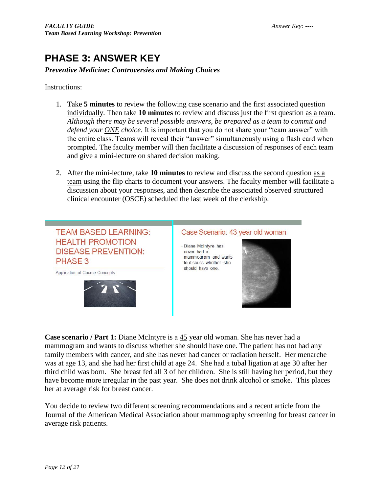# <span id="page-11-0"></span>**PHASE 3: ANSWER KEY**

### *Preventive Medicine: Controversies and Making Choices*

Instructions:

- 1. Take **5 minutes** to review the following case scenario and the first associated question individually. Then take **10 minutes** to review and discuss just the first question as a team. *Although there may be several possible answers, be prepared as a team to commit and defend your ONE choice.* It is important that you do not share your "team answer" with the entire class. Teams will reveal their "answer" simultaneously using a flash card when prompted. The faculty member will then facilitate a discussion of responses of each team and give a mini-lecture on shared decision making.
- 2. After the mini-lecture, take **10 minutes** to review and discuss the second question as a team using the flip charts to document your answers. The faculty member will facilitate a discussion about your responses, and then describe the associated observed structured clinical encounter (OSCE) scheduled the last week of the clerkship.



**Case scenario / Part 1:** Diane McIntyre is a 45 year old woman. She has never had a mammogram and wants to discuss whether she should have one. The patient has not had any family members with cancer, and she has never had cancer or radiation herself. Her menarche was at age 13, and she had her first child at age 24. She had a tubal ligation at age 30 after her third child was born. She breast fed all 3 of her children. She is still having her period, but they have become more irregular in the past year. She does not drink alcohol or smoke. This places her at average risk for breast cancer.

You decide to review two different screening recommendations and a recent article from the Journal of the American Medical Association about mammography screening for breast cancer in average risk patients.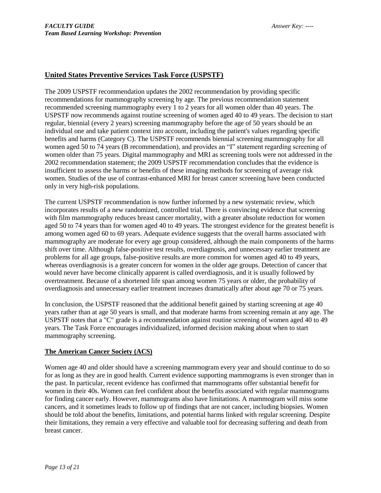### **United States Preventive Services Task Force (USPSTF)**

The 2009 USPSTF recommendation updates the 2002 recommendation by providing specific recommendations for mammography screening by age. The previous recommendation statement recommended screening mammography every 1 to 2 years for all women older than 40 years. The USPSTF now recommends against routine screening of women aged 40 to 49 years. The decision to start regular, biennial (every 2 years) screening mammography before the age of 50 years should be an individual one and take patient context into account, including the patient's values regarding specific benefits and harms (Category C). The USPSTF recommends biennial screening mammography for all women aged 50 to 74 years (B recommendation), and provides an "I" statement regarding screening of women older than 75 years. Digital mammography and MRI as screening tools were not addressed in the 2002 recommendation statement; the 2009 USPSTF recommendation concludes that the evidence is insufficient to assess the harms or benefits of these imaging methods for screening of average risk women. Studies of the use of contrast-enhanced MRI for breast cancer screening have been conducted only in very high-risk populations.

The current USPSTF recommendation is now further informed by a new systematic review, which incorporates results of a new randomized, controlled trial. There is convincing evidence that screening with film mammography reduces breast cancer mortality, with a greater absolute reduction for women aged 50 to 74 years than for women aged 40 to 49 years. The strongest evidence for the greatest benefit is among women aged 60 to 69 years. Adequate evidence suggests that the overall harms associated with mammography are moderate for every age group considered, although the main components of the harms shift over time. Although false-positive test results, overdiagnosis, and unnecessary earlier treatment are problems for all age groups, false-positive results are more common for women aged 40 to 49 years, whereas overdiagnosis is a greater concern for women in the older age groups. Detection of cancer that would never have become clinically apparent is called overdiagnosis, and it is usually followed by overtreatment. Because of a shortened life span among women 75 years or older, the probability of overdiagnosis and unnecessary earlier treatment increases dramatically after about age 70 or 75 years.

In conclusion, the USPSTF reasoned that the additional benefit gained by starting screening at age 40 years rather than at age 50 years is small, and that moderate harms from screening remain at any age. The USPSTF notes that a "C" grade is a recommendation against routine screening of women aged 40 to 49 years. The Task Force encourages individualized, informed decision making about when to start mammography screening.

### **The American Cancer Society (ACS)**

Women age 40 and older should have a screening mammogram every year and should continue to do so for as long as they are in good health. Current evidence supporting mammograms is even stronger than in the past. In particular, recent evidence has confirmed that mammograms offer substantial benefit for women in their 40s. Women can feel confident about the benefits associated with regular mammograms for finding cancer early. However, mammograms also have limitations. A mammogram will miss some cancers, and it sometimes leads to follow up of findings that are not cancer, including biopsies. Women should be told about the benefits, limitations, and potential harms linked with regular screening. Despite their limitations, they remain a very effective and valuable tool for decreasing suffering and death from breast cancer.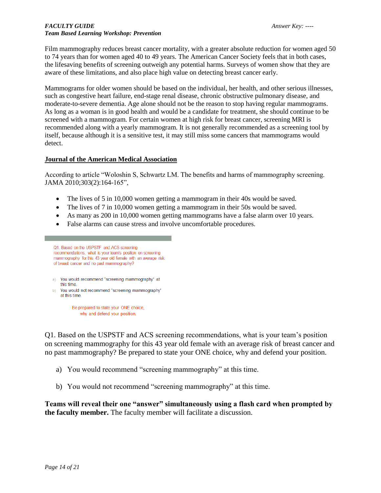### *FACULTY GUIDE Answer Key: ---- Team Based Learning Workshop: Prevention*

Film mammography reduces breast cancer mortality, with a greater absolute reduction for women aged 50 to 74 years than for women aged 40 to 49 years. The American Cancer Society feels that in both cases, the lifesaving benefits of screening outweigh any potential harms. Surveys of women show that they are aware of these limitations, and also place high value on detecting breast cancer early.

Mammograms for older women should be based on the individual, her health, and other serious illnesses, such as congestive heart failure, end-stage renal disease, chronic obstructive pulmonary disease, and moderate-to-severe dementia. Age alone should not be the reason to stop having regular mammograms. As long as a woman is in good health and would be a candidate for treatment, she should continue to be screened with a mammogram. For certain women at high risk for breast cancer, screening MRI is recommended along with a yearly mammogram. It is not generally recommended as a screening tool by itself, because although it is a sensitive test, it may still miss some cancers that mammograms would detect.

#### **Journal of the American Medical Association**

According to article "Woloshin S, Schwartz LM. The benefits and harms of mammography screening. JAMA 2010;303(2):164-165",

- The lives of 5 in 10,000 women getting a mammogram in their 40s would be saved.
- The lives of 7 in 10,000 women getting a mammogram in their 50s would be saved.
- As many as 200 in 10,000 women getting mammograms have a false alarm over 10 years.
- False alarms can cause stress and involve uncomfortable procedures.

Q1. Based on the USPSTF and ACS screening recommendations, what is your team's position on screening mammography for this 43 year old female with an average risk of breast cancer and no past mammography? a) You would recommend "screening mammography" at this time b) You would not recommend "screening mammography" at this time.

Be prepared to state your ONE choice, why and defend your position.

Q1. Based on the USPSTF and ACS screening recommendations, what is your team's position on screening mammography for this 43 year old female with an average risk of breast cancer and no past mammography? Be prepared to state your ONE choice, why and defend your position.

- a) You would recommend "screening mammography" at this time.
- b) You would not recommend "screening mammography" at this time.

**Teams will reveal their one "answer" simultaneously using a flash card when prompted by the faculty member.** The faculty member will facilitate a discussion.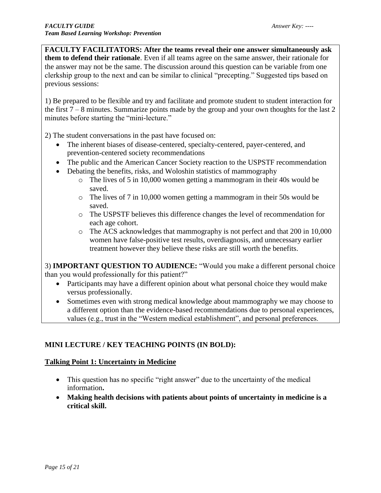**FACULTY FACILITATORS: After the teams reveal their one answer simultaneously ask them to defend their rationale**. Even if all teams agree on the same answer, their rationale for the answer may not be the same. The discussion around this question can be variable from one clerkship group to the next and can be similar to clinical "precepting." Suggested tips based on previous sessions:

1) Be prepared to be flexible and try and facilitate and promote student to student interaction for the first  $7 - 8$  minutes. Summarize points made by the group and your own thoughts for the last 2 minutes before starting the "mini-lecture."

2) The student conversations in the past have focused on:

- The inherent biases of disease-centered, specialty-centered, payer-centered, and prevention-centered society recommendations
- The public and the American Cancer Society reaction to the USPSTF recommendation
- Debating the benefits, risks, and Woloshin statistics of mammography
	- $\circ$  The lives of 5 in 10,000 women getting a mammogram in their 40s would be saved.
	- $\circ$  The lives of 7 in 10,000 women getting a mammogram in their 50s would be saved.
	- o The USPSTF believes this difference changes the level of recommendation for each age cohort.
	- o The ACS acknowledges that mammography is not perfect and that 200 in 10,000 women have false-positive test results, overdiagnosis, and unnecessary earlier treatment however they believe these risks are still worth the benefits.

3) **IMPORTANT QUESTION TO AUDIENCE:** "Would you make a different personal choice than you would professionally for this patient?"

- Participants may have a different opinion about what personal choice they would make versus professionally.
- Sometimes even with strong medical knowledge about mammography we may choose to a different option than the evidence-based recommendations due to personal experiences, values (e.g., trust in the "Western medical establishment", and personal preferences.

### **MINI LECTURE / KEY TEACHING POINTS (IN BOLD):**

### **Talking Point 1: Uncertainty in Medicine**

- This question has no specific "right answer" due to the uncertainty of the medical information**.**
- **Making health decisions with patients about points of uncertainty in medicine is a critical skill.**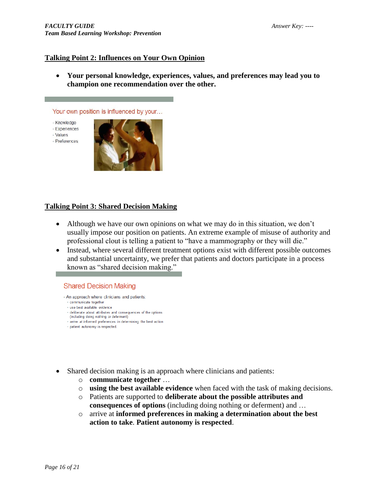### **Talking Point 2: Influences on Your Own Opinion**

 **Your personal knowledge, experiences, values, and preferences may lead you to champion one recommendation over the other.**

Your own position is influenced by your...

- Knowledge
- · Experiences
- · Values
- Preferences



### **Talking Point 3: Shared Decision Making**

- Although we have our own opinions on what we may do in this situation, we don't usually impose our position on patients. An extreme example of misuse of authority and professional clout is telling a patient to "have a mammography or they will die."
- Instead, where several different treatment options exist with different possible outcomes and substantial uncertainty, we prefer that patients and doctors participate in a process known as "shared decision making."

#### **Shared Decision Making**

- An approach where clinicians and patients:
- · communicate together
- · use best available evidence · deliberate about attributes and consequences of the options
- (including doing nothing or deferment)
- · arrive at informed preferences in determining the best action
- · patient autonomy is respected.
- Shared decision making is an approach where clinicians and patients:
	- o **communicate together** …
	- o **using the best available evidence** when faced with the task of making decisions.
	- o Patients are supported to **deliberate about the possible attributes and consequences of options** (including doing nothing or deferment) and …
	- o arrive at **informed preferences in making a determination about the best action to take**. **Patient autonomy is respected**.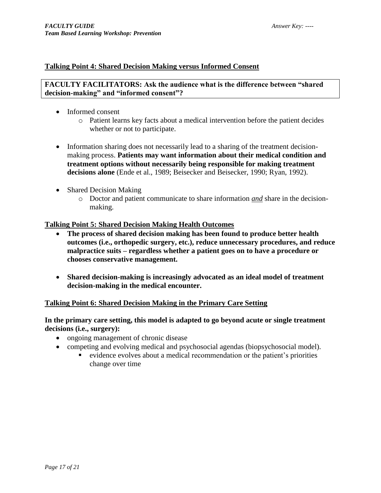### **Talking Point 4: Shared Decision Making versus Informed Consent**

### **FACULTY FACILITATORS: Ask the audience what is the difference between "shared decision-making" and "informed consent"?**

- Informed consent
	- o Patient learns key facts about a medical intervention before the patient decides whether or not to participate.
- Information sharing does not necessarily lead to a sharing of the treatment decisionmaking process. **Patients may want information about their medical condition and treatment options without necessarily being responsible for making treatment decisions alone** (Ende et al., 1989; Beisecker and Beisecker, 1990; Ryan, 1992).
- Shared Decision Making
	- o Doctor and patient communicate to share information *and* share in the decisionmaking.

### **Talking Point 5: Shared Decision Making Health Outcomes**

- **The process of shared decision making has been found to produce better health outcomes (i.e., orthopedic surgery, etc.), reduce unnecessary procedures, and reduce malpractice suits – regardless whether a patient goes on to have a procedure or chooses conservative management.**
- **Shared decision-making is increasingly advocated as an ideal model of treatment decision-making in the medical encounter.**

### **Talking Point 6: Shared Decision Making in the Primary Care Setting**

**In the primary care setting, this model is adapted to go beyond acute or single treatment decisions (i.e., surgery):**

- ongoing management of chronic disease
- competing and evolving medical and psychosocial agendas (biopsychosocial model).
	- evidence evolves about a medical recommendation or the patient's priorities change over time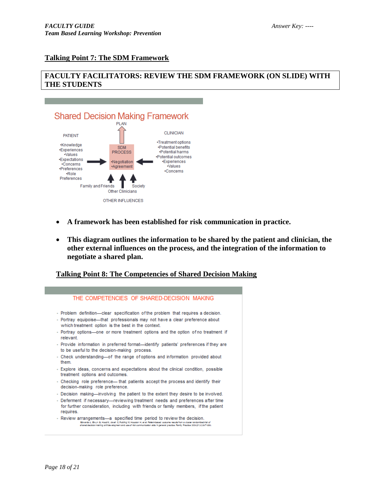### **Talking Point 7: The SDM Framework**

### **FACULTY FACILITATORS: REVIEW THE SDM FRAMEWORK (ON SLIDE) WITH THE STUDENTS**



- **A framework has been established for risk communication in practice.**
- **This diagram outlines the information to be shared by the patient and clinician, the other external influences on the process, and the integration of the information to negotiate a shared plan.**

### **Talking Point 8: The Competencies of Shared Decision Making**



<sup>-</sup> Review arrangements—a specified time period to review the decision.<br>Equare 4, Equare 4, Equare 2, Equare 1, Equare 1, and Parameters and the additional comparameters of the Channel Comparameters of the comparameters of t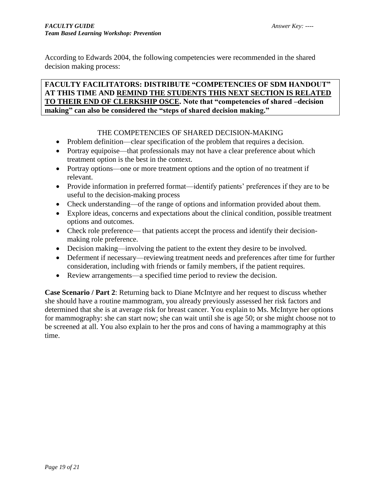According to Edwards 2004, the following competencies were recommended in the shared decision making process:

### **FACULTY FACILITATORS: DISTRIBUTE "COMPETENCIES OF SDM HANDOUT" AT THIS TIME AND REMIND THE STUDENTS THIS NEXT SECTION IS RELATED TO THEIR END OF CLERKSHIP OSCE. Note that "competencies of shared –decision making" can also be considered the "steps of shared decision making."**

### THE COMPETENCIES OF SHARED DECISION-MAKING

- Problem definition—clear specification of the problem that requires a decision.
- Portray equipoise—that professionals may not have a clear preference about which treatment option is the best in the context.
- Portray options—one or more treatment options and the option of no treatment if relevant.
- Provide information in preferred format—identify patients' preferences if they are to be useful to the decision-making process
- Check understanding—of the range of options and information provided about them.
- Explore ideas, concerns and expectations about the clinical condition, possible treatment options and outcomes.
- Check role preference— that patients accept the process and identify their decisionmaking role preference.
- Decision making—involving the patient to the extent they desire to be involved.
- Deferment if necessary—reviewing treatment needs and preferences after time for further consideration, including with friends or family members, if the patient requires.
- Review arrangements—a specified time period to review the decision.

**Case Scenario / Part 2**: Returning back to Diane McIntyre and her request to discuss whether she should have a routine mammogram, you already previously assessed her risk factors and determined that she is at average risk for breast cancer. You explain to Ms. McIntyre her options for mammography: she can start now; she can wait until she is age 50; or she might choose not to be screened at all. You also explain to her the pros and cons of having a mammography at this time.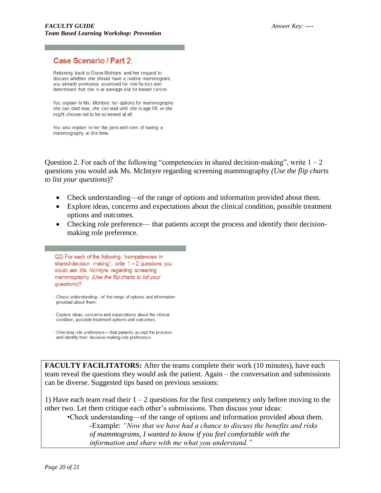### Case Scenario / Part 2:

Returning back to Diane McIntyre and her request to discuss whether she should have a routine mammogram, you already previously assessed her risk factors and determined that she is at average risk for breast cancer.

You explain to Ms. McIntyre her options for mammography: she can start now; she can wait until she is age 50; or she might choose not to be screened at all.

You also explain to her the pros and cons of having a mammography at this time.

Question 2. For each of the following "competencies in shared decision-making", write  $1 - 2$ questions you would ask Ms. McIntyre regarding screening mammography *(Use the flip charts to list your questions*)?

- Check understanding—of the range of options and information provided about them.
- Explore ideas, concerns and expectations about the clinical condition, possible treatment options and outcomes.
- Checking role preference— that patients accept the process and identify their decisionmaking role preference.

Q2) For each of the following "competencies in shared-decision making", write  $1 - 2$  questions you would ask Ms. McIntyre regarding screening mammography (Use the flip charts to list your questions)?

- Check understanding-of the range of options and information provided about them.
- . Explore ideas, concerns and expectations about the clinical condition, possible treatment options and outcomes.
- · Checking role preference- that patients accept the process and identify their decision-making role preference.

**FACULTY FACILITATORS:** After the teams complete their work (10 minutes), have each team reveal the questions they would ask the patient. Again – the conversation and submissions can be diverse. Suggested tips based on previous sessions:

1) Have each team read their  $1 - 2$  questions for the first competency only before moving to the other two. Let them critique each other's submissions. Then discuss your ideas:

•Check understanding—of the range of options and information provided about them. -Example: *"Now that we have had a chance to discuss the benefits and risks of mammograms, I wanted to know if you feel comfortable with the information and share with me what you understand."*